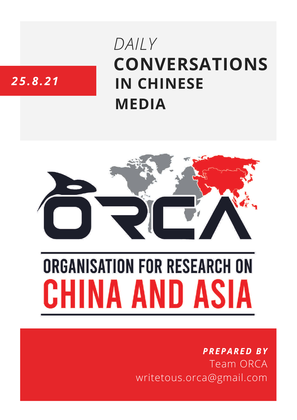# **CONVERSATIONS IN CHINESE MEDIA** *DAILY*

# *25.8.21*



# **ORGANISATION FOR RESEARCH ON** HINA AND ASIA

## *PREPARED BY* Team ORCA writetous.orca@gmail.com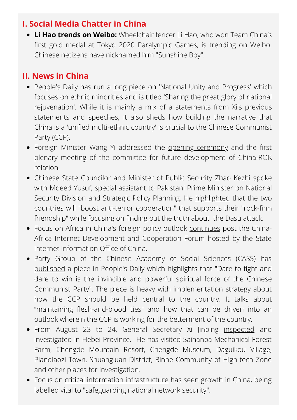#### **I. Social Media Chatter in China**

**Li Hao trends on Weibo:** Wheelchair fencer Li Hao, who won Team China's first gold medal at Tokyo 2020 Paralympic Games, is trending on Weibo. Chinese netizens have nicknamed him "Sunshine Boy".

### **II. News in China**

- People's Daily has run a long [piece](http://paper.people.com.cn/rmrb/html/2021-08/25/nw.D110000renmrb_20210825_1-01.htm) on 'National Unity and Progress' which focuses on ethnic minorities and is titled 'Sharing the great glory of national rejuvenation'. While it is mainly a mix of a statements from Xi's previous statements and speeches, it also sheds how building the narrative that China is a 'unified multi-ethnic country' is crucial to the Chinese Communist Party (CCP).
- Foreign Minister Wang Yi addressed the opening [ceremony](http://www.news.cn/english/2021-08/24/c_1310146085.htm) and the first plenary meeting of the committee for future development of China-ROK relation.
- Chinese State Councilor and Minister of Public Security Zhao Kezhi spoke with Moeed Yusuf, special assistant to Pakistani Prime Minister on National Security Division and Strategic Policy Planning. He [highlighted](http://www.news.cn/english/2021-08/24/c_1310146384.htm) that the two countries will "boost anti-terror cooperation" that supports their "rock-firm friendship" while focusing on finding out the truth about the Dasu attack.
- Focus on Africa in China's foreign policy outlook [continues](http://paper.people.com.cn/rmrb/html/2021-08/25/nw.D110000renmrb_20210825_10-03.htm) post the China-Africa Internet Development and Cooperation Forum hosted by the State Internet Information Office of China.
- Party Group of the Chinese Academy of Social Sciences (CASS) has [published](http://paper.people.com.cn/rmrb/html/2021-08/25/nw.D110000renmrb_20210825_2-09.htm) a piece in People's Daily which highlights that "Dare to fight and dare to win is the invincible and powerful spiritual force of the Chinese Communist Party". The piece is heavy with implementation strategy about how the CCP should be held central to the country. It talks about "maintaining flesh-and-blood ties" and how that can be driven into an outlook wherein the CCP is working for the betterment of the country.
- From August 23 to 24, General Secretary Xi Jinping [inspected](https://www.guancha.cn/politics/2021_08_25_604421_s.shtml) and investigated in Hebei Province. He has visited Saihanba Mechanical Forest Farm, Chengde Mountain Resort, Chengde Museum, Daguikou Village, Pianqiaozi Town, Shuangluan District, Binhe Community of High-tech Zone and other places for investigation.
- Focus on critical information [infrastructure](http://paper.people.com.cn/rmrb/html/2021-08/25/nw.D110000renmrb_20210825_1-06.htm) has seen growth in China, being labelled vital to "safeguarding national network security".